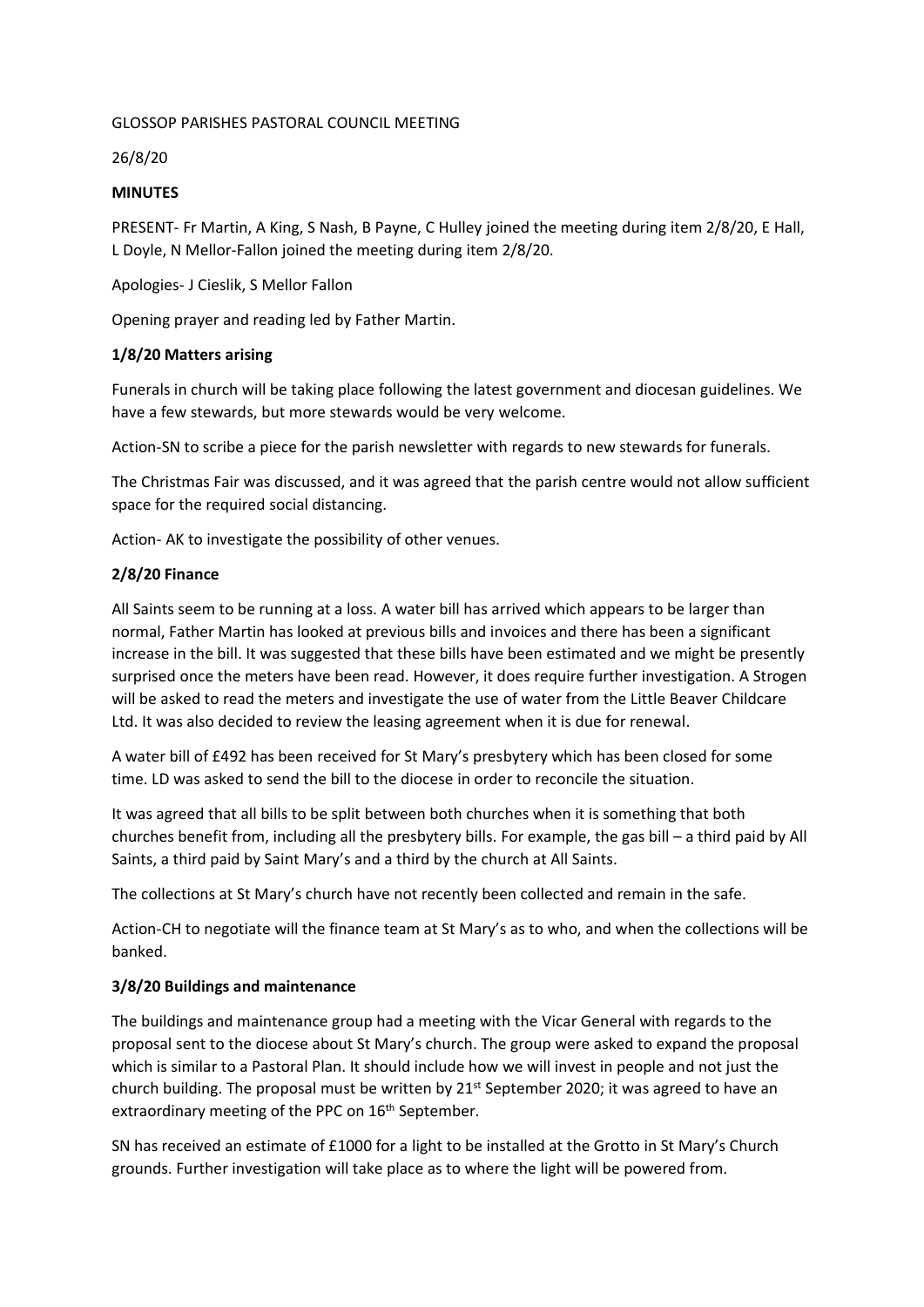#### GLOSSOP PARISHES PASTORAL COUNCIL MEETING

26/8/20

#### **MINUTES**

PRESENT- Fr Martin, A King, S Nash, B Payne, C Hulley joined the meeting during item 2/8/20, E Hall, L Doyle, N Mellor-Fallon joined the meeting during item 2/8/20.

Apologies- J Cieslik, S Mellor Fallon

Opening prayer and reading led by Father Martin.

### **1/8/20 Matters arising**

Funerals in church will be taking place following the latest government and diocesan guidelines. We have a few stewards, but more stewards would be very welcome.

Action-SN to scribe a piece for the parish newsletter with regards to new stewards for funerals.

The Christmas Fair was discussed, and it was agreed that the parish centre would not allow sufficient space for the required social distancing.

Action- AK to investigate the possibility of other venues.

### **2/8/20 Finance**

All Saints seem to be running at a loss. A water bill has arrived which appears to be larger than normal, Father Martin has looked at previous bills and invoices and there has been a significant increase in the bill. It was suggested that these bills have been estimated and we might be presently surprised once the meters have been read. However, it does require further investigation. A Strogen will be asked to read the meters and investigate the use of water from the Little Beaver Childcare Ltd. It was also decided to review the leasing agreement when it is due for renewal.

A water bill of £492 has been received for St Mary's presbytery which has been closed for some time. LD was asked to send the bill to the diocese in order to reconcile the situation.

It was agreed that all bills to be split between both churches when it is something that both churches benefit from, including all the presbytery bills. For example, the gas bill – a third paid by All Saints, a third paid by Saint Mary's and a third by the church at All Saints.

The collections at St Mary's church have not recently been collected and remain in the safe.

Action-CH to negotiate will the finance team at St Mary's as to who, and when the collections will be banked.

### **3/8/20 Buildings and maintenance**

The buildings and maintenance group had a meeting with the Vicar General with regards to the proposal sent to the diocese about St Mary's church. The group were asked to expand the proposal which is similar to a Pastoral Plan. It should include how we will invest in people and not just the church building. The proposal must be written by  $21^{st}$  September 2020; it was agreed to have an extraordinary meeting of the PPC on 16<sup>th</sup> September.

SN has received an estimate of £1000 for a light to be installed at the Grotto in St Mary's Church grounds. Further investigation will take place as to where the light will be powered from.